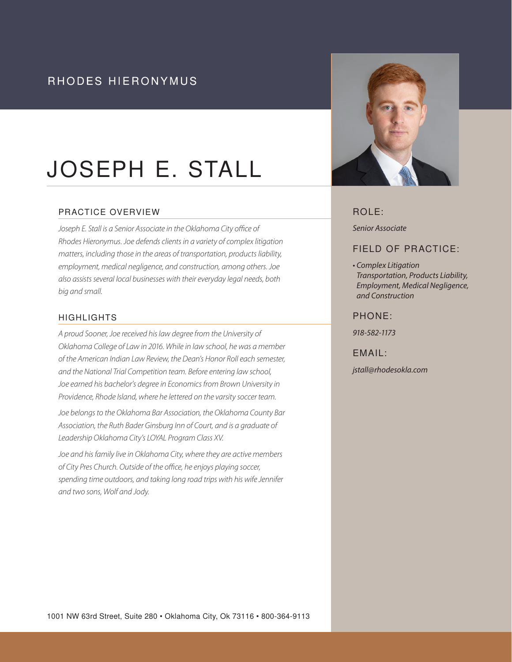# RHODES HIERONYMUS

# JOSEPH E. STALL

#### PRACTICE OVERVIEW

*Joseph E. Stall is a Senior Associate in the Oklahoma City office of Rhodes Hieronymus. Joe defends clients in a variety of complex litigation matters, including those in the areas of transportation, products liability, employment, medical negligence, and construction, among others. Joe also assists several local businesses with their everyday legal needs, both big and small.*

#### HIGHLIGHTS

*A proud Sooner, Joe received his law degree from the University of Oklahoma College of Law in 2016. While in law school, he was a member of the American Indian Law Review, the Dean's Honor Roll each semester, and the National Trial Competition team. Before entering law school, Joe earned his bachelor's degree in Economics from Brown University in Providence, Rhode Island, where he lettered on the varsity soccer team.* 

*Joe belongs to the Oklahoma Bar Association, the Oklahoma County Bar Association, the Ruth Bader Ginsburg Inn of Court, and is a graduate of Leadership Oklahoma City's LOYAL Program Class XV.* 

*Joe and his family live in Oklahoma City, where they are active members of City Pres Church. Outside of the office, he enjoys playing soccer, spending time outdoors, and taking long road trips with his wife Jennifer and two sons, Wolf and Jody.*



# ROLE:

*Senior Associate* 

# FIELD OF PRACTICE:

*• Complex Litigation Transportation, Products Liability, Employment, Medical Negligence, and Construction*

#### PHONE:

*918-582-1173*

#### EMAIL:

*jstall@rhodesokla.com*